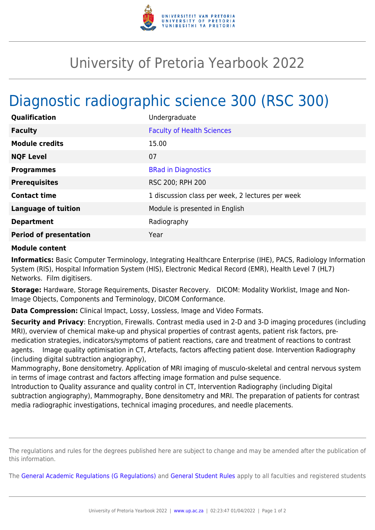

## University of Pretoria Yearbook 2022

## Diagnostic radiographic science 300 (RSC 300)

| Qualification                 | Undergraduate                                    |
|-------------------------------|--------------------------------------------------|
| <b>Faculty</b>                | <b>Faculty of Health Sciences</b>                |
| <b>Module credits</b>         | 15.00                                            |
| <b>NQF Level</b>              | 07                                               |
| <b>Programmes</b>             | <b>BRad in Diagnostics</b>                       |
| <b>Prerequisites</b>          | RSC 200; RPH 200                                 |
| <b>Contact time</b>           | 1 discussion class per week, 2 lectures per week |
| <b>Language of tuition</b>    | Module is presented in English                   |
| <b>Department</b>             | Radiography                                      |
| <b>Period of presentation</b> | Year                                             |

## **Module content**

**Informatics:** Basic Computer Terminology, Integrating Healthcare Enterprise (IHE), PACS, Radiology Information System (RIS), Hospital Information System (HIS), Electronic Medical Record (EMR), Health Level 7 (HL7) Networks. Film digitisers.

**Storage:** Hardware, Storage Requirements, Disaster Recovery. DICOM: Modality Worklist, Image and Non-Image Objects, Components and Terminology, DICOM Conformance.

**Data Compression:** Clinical Impact, Lossy, Lossless, Image and Video Formats.

**Security and Privacy**: Encryption, Firewalls. Contrast media used in 2-D and 3-D imaging procedures (including MRI), overview of chemical make-up and physical properties of contrast agents, patient risk factors, premedication strategies, indicators/symptoms of patient reactions, care and treatment of reactions to contrast agents. Image quality optimisation in CT, Artefacts, factors affecting patient dose. Intervention Radiography (including digital subtraction angiography),

Mammography, Bone densitometry. Application of MRI imaging of musculo-skeletal and central nervous system in terms of image contrast and factors affecting image formation and pulse sequence.

Introduction to Quality assurance and quality control in CT, Intervention Radiography (including Digital subtraction angiography), Mammography, Bone densitometry and MRI. The preparation of patients for contrast media radiographic investigations, technical imaging procedures, and needle placements.

The regulations and rules for the degrees published here are subject to change and may be amended after the publication of this information.

The [General Academic Regulations \(G Regulations\)](https://www.up.ac.za/faculty-of-education/yearbooks/2022/rules/view/REG) and [General Student Rules](https://www.up.ac.za/faculty-of-education/yearbooks/2022/rules/view/RUL) apply to all faculties and registered students